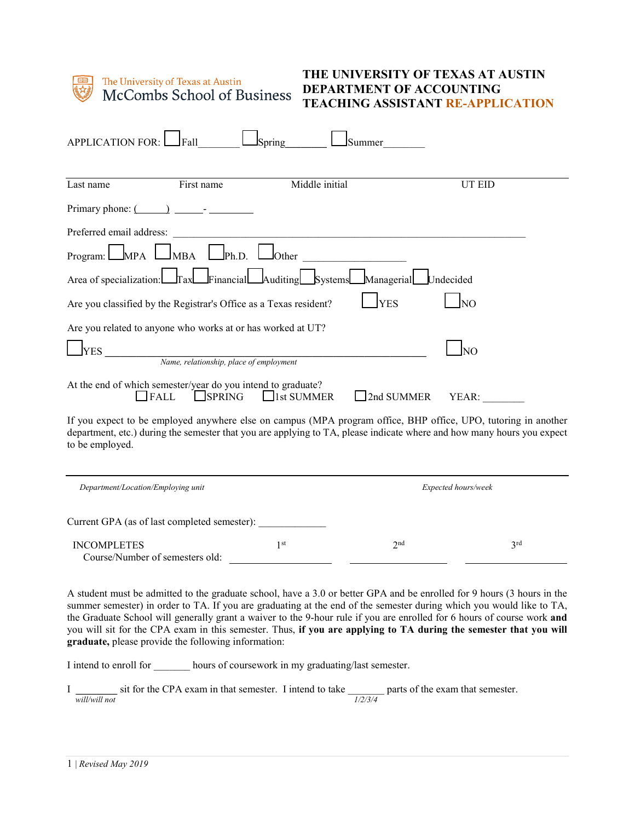

The University of Texas at Austin McCombs School of Business

## **THE UNIVERSITY OF TEXAS AT AUSTIN DEPARTMENT OF ACCOUNTING TEACHING ASSISTANT RE-APPLICATION**

| <b>APPLICATION FOR:</b><br>Fall<br>Spring<br>Summer                                                                                                                                                                                                         |  |
|-------------------------------------------------------------------------------------------------------------------------------------------------------------------------------------------------------------------------------------------------------------|--|
| Middle initial<br>First name<br><b>UT EID</b><br>Last name                                                                                                                                                                                                  |  |
| Primary phone: (                                                                                                                                                                                                                                            |  |
| Preferred email address:<br><u> 1989 - Johann Harry Barn, mars ar yn y breninn y breninn y breninn y breninn y breninn y breninn y breninn y</u>                                                                                                            |  |
| $\Box$ Ph.D. L<br>MPA l<br>$J$ Other<br><b>JMBA</b><br>Program: $\Box$                                                                                                                                                                                      |  |
| Systems Managerial<br>Financial Auditing<br>Area of specialization: Tax<br>Undecided                                                                                                                                                                        |  |
| N <sub>O</sub><br><b>YES</b><br>Are you classified by the Registrar's Office as a Texas resident?                                                                                                                                                           |  |
| Are you related to anyone who works at or has worked at UT?                                                                                                                                                                                                 |  |
| <b>YES</b><br>lno<br>Name, relationship, place of employment                                                                                                                                                                                                |  |
| At the end of which semester/year do you intend to graduate?<br>$\Box$ SPRING<br>$\Box$ 1st SUMMER<br>FALL<br>2nd SUMMER<br>YEAR:                                                                                                                           |  |
| If you expect to be employed anywhere else on campus (MPA program office, BHP office, UPO, tutoring in another<br>department, etc.) during the semester that you are applying to TA, please indicate where and how many hours you expect<br>to be employed. |  |
| Department/Location/Employing unit<br>Expected hours/week                                                                                                                                                                                                   |  |
| Current GPA (as of last completed semester):                                                                                                                                                                                                                |  |
| 1 <sup>st</sup><br>2 <sub>nd</sub><br>3 <sup>rd</sup><br><b>INCOMPLETES</b><br>Course/Number of semesters old:                                                                                                                                              |  |

A student must be admitted to the graduate school, have a 3.0 or better GPA and be enrolled for 9 hours (3 hours in the summer semester) in order to TA. If you are graduating at the end of the semester during which you would like to TA, the Graduate School will generally grant a waiver to the 9-hour rule if you are enrolled for 6 hours of course work **and** you will sit for the CPA exam in this semester. Thus, **if you are applying to TA during the semester that you will graduate,** please provide the following information:

I intend to enroll for \_\_\_\_\_\_\_ hours of coursework in my graduating/last semester.

I **\_\_\_\_\_\_\_\_** sit for the CPA exam in that semester. I intend to take \_\_\_\_\_\_\_ parts of the exam that semester. *will/will not 1/2/3/4*